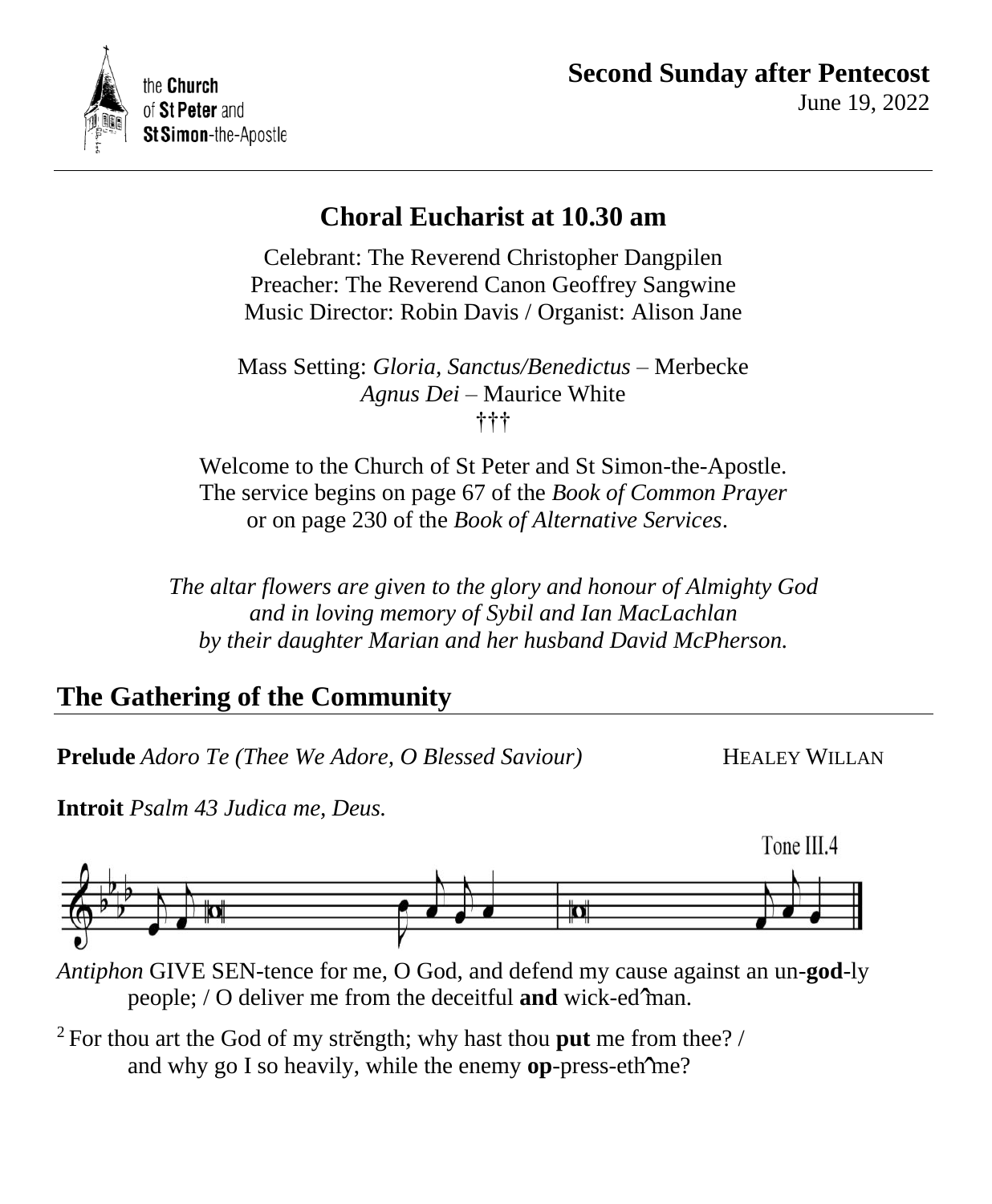

# **Choral Eucharist at 10.30 am**

Celebrant: The Reverend Christopher Dangpilen Preacher: The Reverend Canon Geoffrey Sangwine Music Director: Robin Davis / Organist: Alison Jane

Mass Setting: *Gloria, Sanctus/Benedictus* – Merbecke *Agnus Dei* – Maurice White †††

Welcome to the Church of St Peter and St Simon-the-Apostle. The service begins on page 67 of the *Book of Common Prayer* or on page 230 of the *Book of Alternative Services*.

*The altar flowers are given to the glory and honour of Almighty God and in loving memory of Sybil and Ian MacLachlan by their daughter Marian and her husband David McPherson.*

# **The Gathering of the Community**

**Prelude** *Adoro Te* (*Thee We Adore, O Blessed Saviour*) **HEALEY WILLAN** 

**Introit** *Psalm 43 Judica me, Deus.*





*Antiphon* GIVE SEN-tence for me, O God, and defend my cause against an un-**god**-ly people; / O deliver me from the deceitful **and** wick-ed man. ˆ

<sup>2</sup> For thou art the God of my strĕngth; why hast thou **put** me from thee? / and why go I so heavily, while the enemy **op**-press-eth me?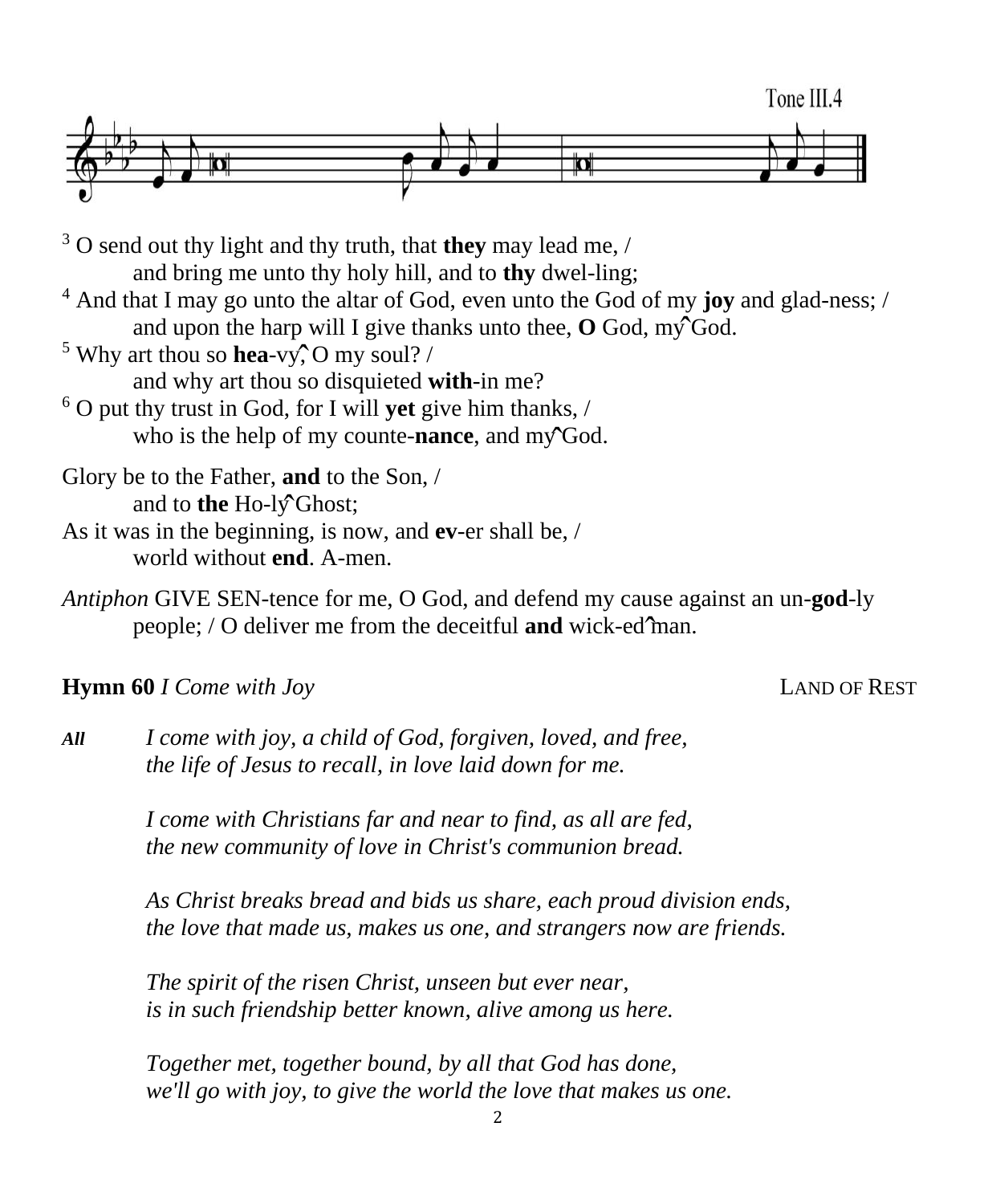

<sup>3</sup> O send out thy light and thy truth, that **they** may lead me, / and bring me unto thy holy hill, and to **thy** dwel-ling; <sup>4</sup> And that I may go unto the altar of God, even unto the God of my **joy** and glad-ness; / and upon the harp will I give thanks unto thee,  $\overline{O}$  God, my God. <sup>5</sup> Why art thou so **hea**-vy, O my soul? / and why art thou so disquieted **with**-in me? <sup>6</sup> O put thy trust in God, for I will **yet** give him thanks, / who is the help of my counte-**nance**, and my God. Glory be to the Father, **and** to the Son, / and to **the** Ho-ly<sup>o</sup>Ghost;

As it was in the beginning, is now, and **ev**-er shall be, / world without **end**. A-men.

*Antiphon* GIVE SEN-tence for me, O God, and defend my cause against an un-**god**-ly people; / O deliver me from the deceitful **and** wick-ed man. ˆ

# **Hymn 60** *I Come with Joy* LAND OF REST

*All I come with joy, a child of God, forgiven, loved, and free, the life of Jesus to recall, in love laid down for me.*

> *I come with Christians far and near to find, as all are fed, the new community of love in Christ's communion bread.*

*As Christ breaks bread and bids us share, each proud division ends, the love that made us, makes us one, and strangers now are friends.*

*The spirit of the risen Christ, unseen but ever near, is in such friendship better known, alive among us here.*

*Together met, together bound, by all that God has done, we'll go with joy, to give the world the love that makes us one.*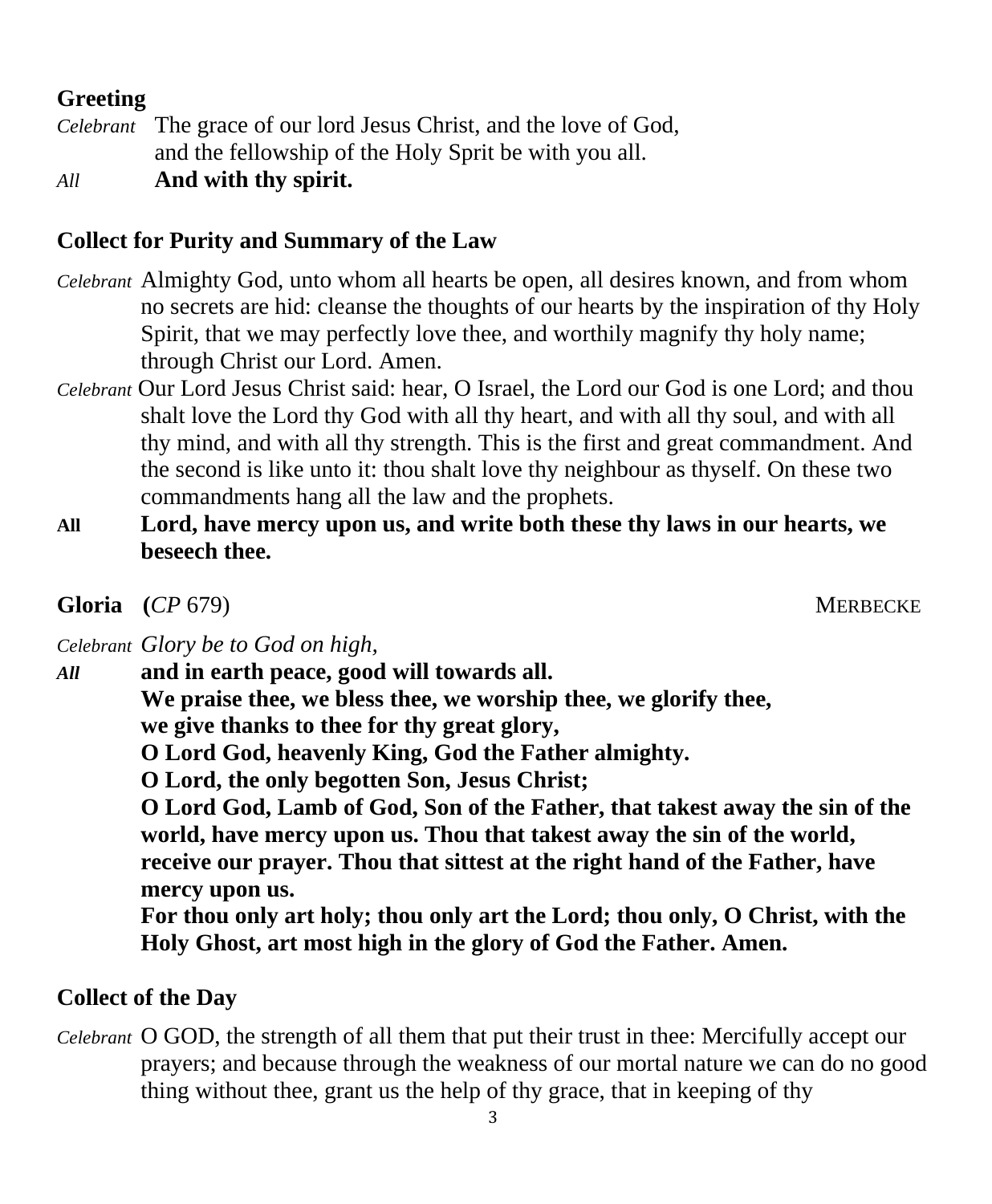# **Greeting**

*Celebrant* The grace of our lord Jesus Christ, and the love of God, and the fellowship of the Holy Sprit be with you all.

*All* **And with thy spirit.**

# **Collect for Purity and Summary of the Law**

- *Celebrant* Almighty God, unto whom all hearts be open, all desires known, and from whom no secrets are hid: cleanse the thoughts of our hearts by the inspiration of thy Holy Spirit, that we may perfectly love thee, and worthily magnify thy holy name; through Christ our Lord. Amen.
- *Celebrant* Our Lord Jesus Christ said: hear, O Israel, the Lord our God is one Lord; and thou shalt love the Lord thy God with all thy heart, and with all thy soul, and with all thy mind, and with all thy strength. This is the first and great commandment. And the second is like unto it: thou shalt love thy neighbour as thyself. On these two commandments hang all the law and the prophets.
- **All Lord, have mercy upon us, and write both these thy laws in our hearts, we beseech thee.**

**Gloria** (*CP* 679) MERBECKE

*Celebrant Glory be to God on high,* 

*All* **and in earth peace, good will towards all.** 

**We praise thee, we bless thee, we worship thee, we glorify thee, we give thanks to thee for thy great glory,** 

**O Lord God, heavenly King, God the Father almighty.** 

**O Lord, the only begotten Son, Jesus Christ;** 

**O Lord God, Lamb of God, Son of the Father, that takest away the sin of the world, have mercy upon us. Thou that takest away the sin of the world, receive our prayer. Thou that sittest at the right hand of the Father, have mercy upon us.** 

**For thou only art holy; thou only art the Lord; thou only, O Christ, with the Holy Ghost, art most high in the glory of God the Father. Amen.**

# **Collect of the Day**

*Celebrant* O GOD, the strength of all them that put their trust in thee: Mercifully accept our prayers; and because through the weakness of our mortal nature we can do no good thing without thee, grant us the help of thy grace, that in keeping of thy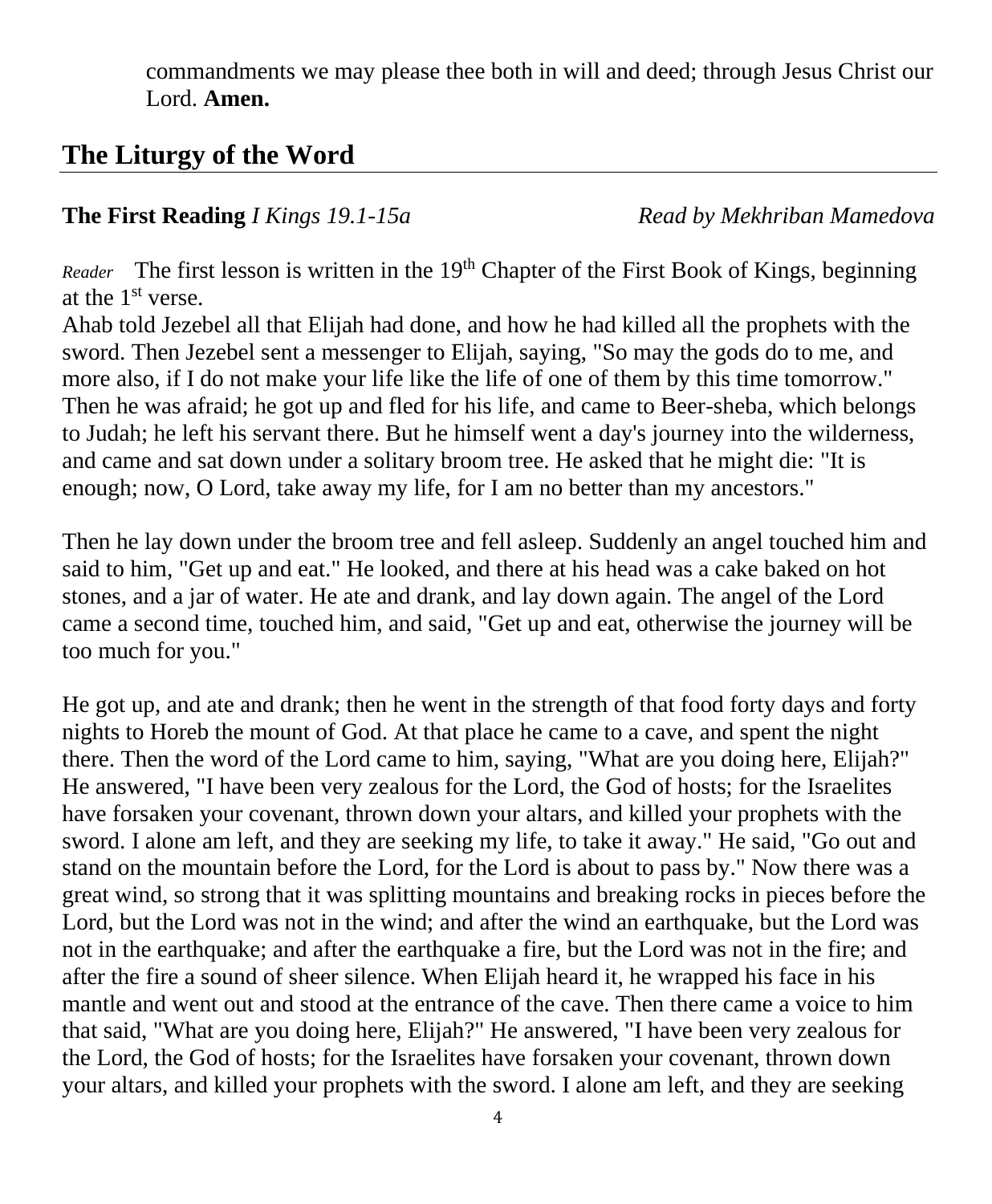commandments we may please thee both in will and deed; through Jesus Christ our Lord. **Amen.**

# **The Liturgy of the Word**

## **The First Reading** *I Kings 19.1-15a Read by Mekhriban Mamedova*

*Reader* The first lesson is written in the 19<sup>th</sup> Chapter of the First Book of Kings, beginning at the  $1<sup>st</sup>$  verse.

Ahab told Jezebel all that Elijah had done, and how he had killed all the prophets with the sword. Then Jezebel sent a messenger to Elijah, saying, "So may the gods do to me, and more also, if I do not make your life like the life of one of them by this time tomorrow." Then he was afraid; he got up and fled for his life, and came to Beer-sheba, which belongs to Judah; he left his servant there. But he himself went a day's journey into the wilderness, and came and sat down under a solitary broom tree. He asked that he might die: "It is enough; now, O Lord, take away my life, for I am no better than my ancestors."

Then he lay down under the broom tree and fell asleep. Suddenly an angel touched him and said to him, "Get up and eat." He looked, and there at his head was a cake baked on hot stones, and a jar of water. He ate and drank, and lay down again. The angel of the Lord came a second time, touched him, and said, "Get up and eat, otherwise the journey will be too much for you."

He got up, and ate and drank; then he went in the strength of that food forty days and forty nights to Horeb the mount of God. At that place he came to a cave, and spent the night there. Then the word of the Lord came to him, saying, "What are you doing here, Elijah?" He answered, "I have been very zealous for the Lord, the God of hosts; for the Israelites have forsaken your covenant, thrown down your altars, and killed your prophets with the sword. I alone am left, and they are seeking my life, to take it away." He said, "Go out and stand on the mountain before the Lord, for the Lord is about to pass by." Now there was a great wind, so strong that it was splitting mountains and breaking rocks in pieces before the Lord, but the Lord was not in the wind; and after the wind an earthquake, but the Lord was not in the earthquake; and after the earthquake a fire, but the Lord was not in the fire; and after the fire a sound of sheer silence. When Elijah heard it, he wrapped his face in his mantle and went out and stood at the entrance of the cave. Then there came a voice to him that said, "What are you doing here, Elijah?" He answered, "I have been very zealous for the Lord, the God of hosts; for the Israelites have forsaken your covenant, thrown down your altars, and killed your prophets with the sword. I alone am left, and they are seeking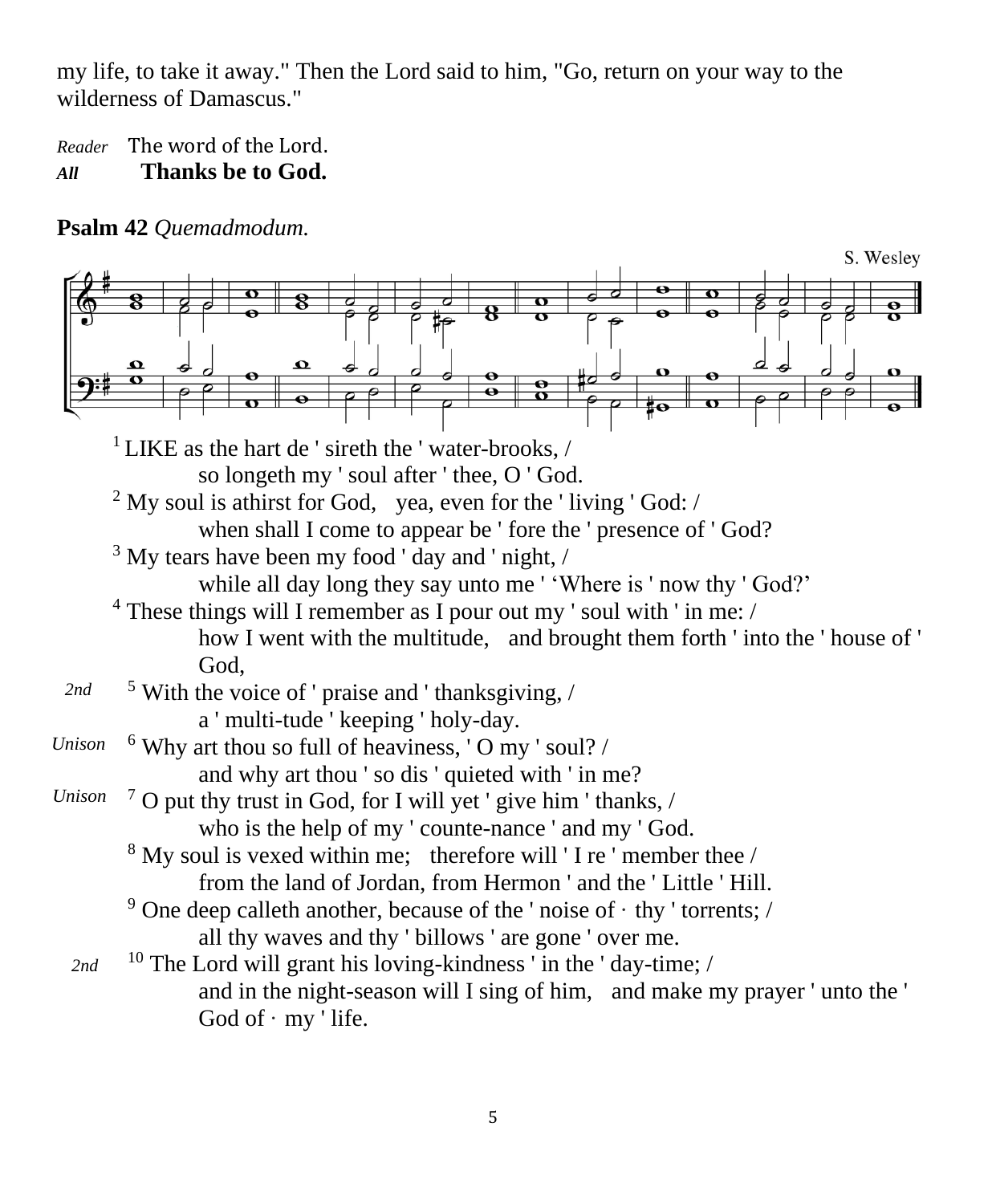my life, to take it away." Then the Lord said to him, "Go, return on your way to the wilderness of Damascus."

*Reader* The word of the Lord. *All* **Thanks be to God.**

**Psalm 42** *Quemadmodum.*

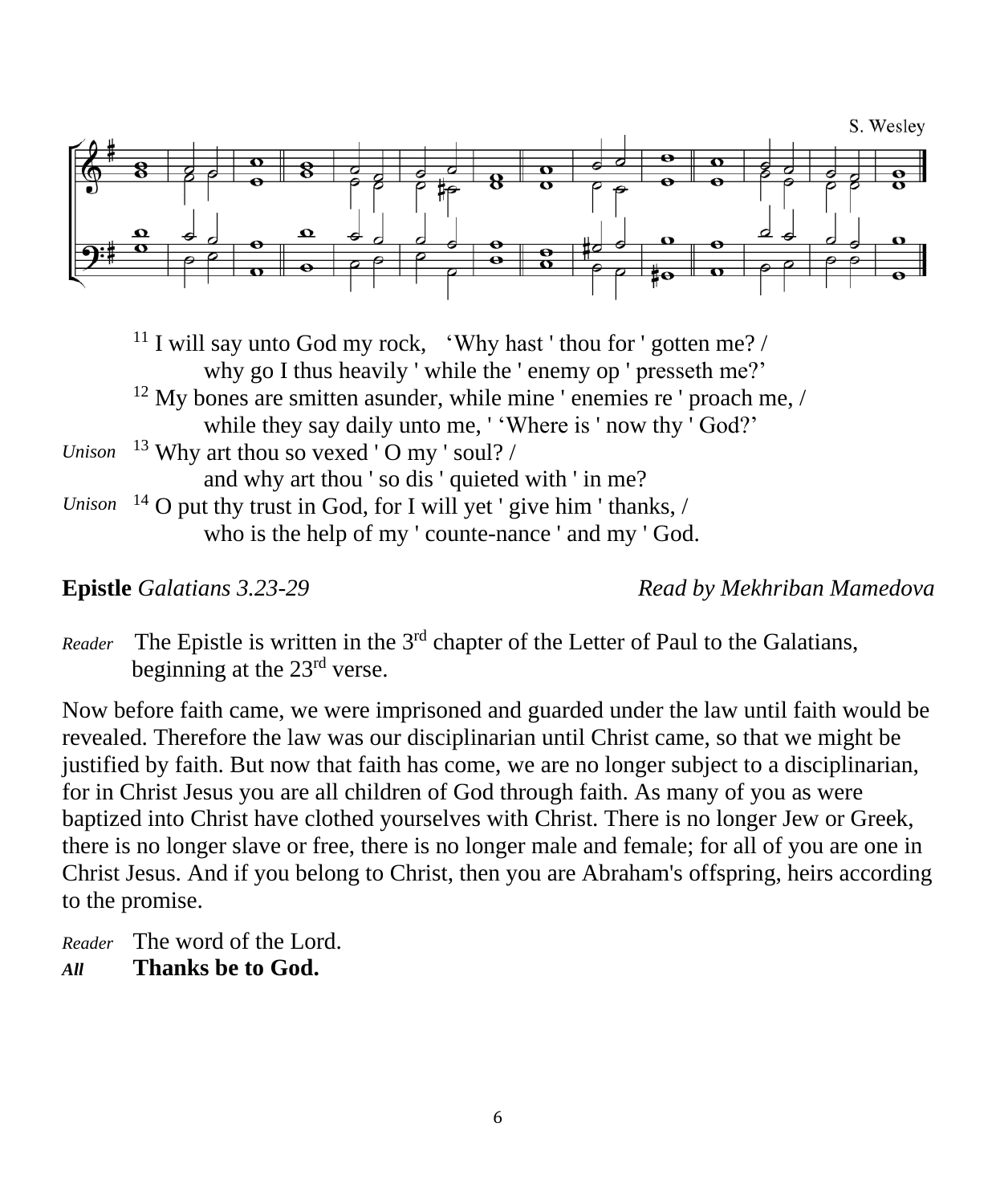

<sup>11</sup> I will say unto God my rock, 'Why hast' thou for ' gotten me? / why go I thus heavily ' while the ' enemy op ' presseth me?'  $12$  My bones are smitten asunder, while mine ' enemies re ' proach me, / while they say daily unto me, ' 'Where is ' now thy ' God?'  $13$  Why art thou so vexed 'O my ' soul? / and why art thou ' so dis ' quieted with ' in me?  $\frac{14}{9}$  O put thy trust in God, for I will yet ' give him ' thanks, / who is the help of my ' counte-nance ' and my ' God. *Unison*

**Epistle** *Galatians 3.23-29 Read by Mekhriban Mamedova*

Reader The Epistle is written in the 3<sup>rd</sup> chapter of the Letter of Paul to the Galatians, beginning at the 23rd verse.

Now before faith came, we were imprisoned and guarded under the law until faith would be revealed. Therefore the law was our disciplinarian until Christ came, so that we might be justified by faith. But now that faith has come, we are no longer subject to a disciplinarian, for in Christ Jesus you are all children of God through faith. As many of you as were baptized into Christ have clothed yourselves with Christ. There is no longer Jew or Greek, there is no longer slave or free, there is no longer male and female; for all of you are one in Christ Jesus. And if you belong to Christ, then you are Abraham's offspring, heirs according to the promise.

*Reader* The word of the Lord. *All* **Thanks be to God.**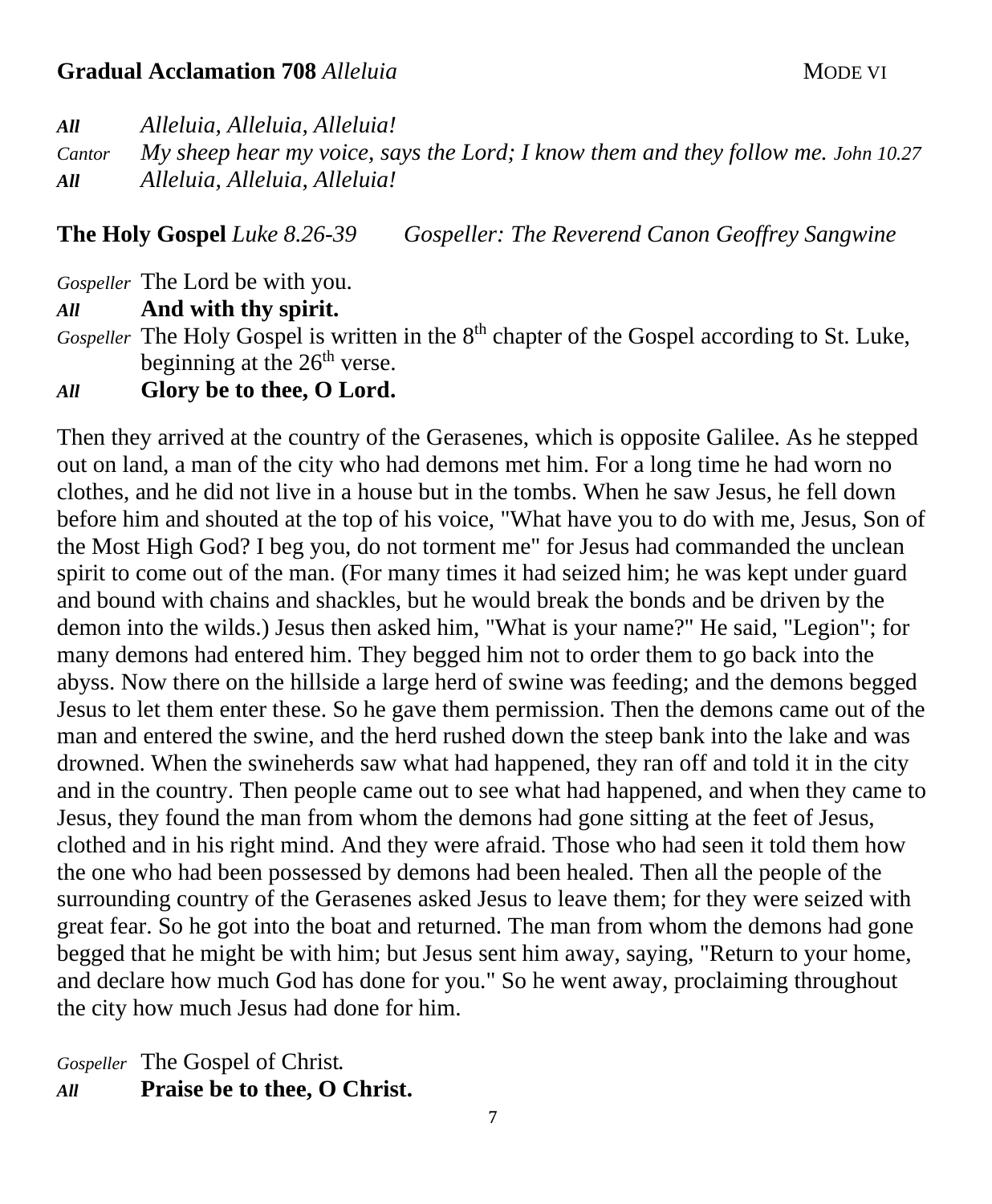### **Gradual Acclamation 708** *Alleluia* **MODE VI MODE VI**

*All Alleluia, Alleluia, Alleluia!*

*Cantor My sheep hear my voice, says the Lord; I know them and they follow me. John 10.27 All Alleluia, Alleluia, Alleluia!*

**The Holy Gospel** *Luke 8.26-39 Gospeller: The Reverend Canon Geoffrey Sangwine*

*Gospeller* The Lord be with you.

*All* **And with thy spirit.**

Gospeller The Holy Gospel is written in the 8<sup>th</sup> chapter of the Gospel according to St. Luke, beginning at the  $26<sup>th</sup>$  verse.

*All* **Glory be to thee, O Lord.**

Then they arrived at the country of the Gerasenes, which is opposite Galilee. As he stepped out on land, a man of the city who had demons met him. For a long time he had worn no clothes, and he did not live in a house but in the tombs. When he saw Jesus, he fell down before him and shouted at the top of his voice, "What have you to do with me, Jesus, Son of the Most High God? I beg you, do not torment me" for Jesus had commanded the unclean spirit to come out of the man. (For many times it had seized him; he was kept under guard and bound with chains and shackles, but he would break the bonds and be driven by the demon into the wilds.) Jesus then asked him, "What is your name?" He said, "Legion"; for many demons had entered him. They begged him not to order them to go back into the abyss. Now there on the hillside a large herd of swine was feeding; and the demons begged Jesus to let them enter these. So he gave them permission. Then the demons came out of the man and entered the swine, and the herd rushed down the steep bank into the lake and was drowned. When the swineherds saw what had happened, they ran off and told it in the city and in the country. Then people came out to see what had happened, and when they came to Jesus, they found the man from whom the demons had gone sitting at the feet of Jesus, clothed and in his right mind. And they were afraid. Those who had seen it told them how the one who had been possessed by demons had been healed. Then all the people of the surrounding country of the Gerasenes asked Jesus to leave them; for they were seized with great fear. So he got into the boat and returned. The man from whom the demons had gone begged that he might be with him; but Jesus sent him away, saying, "Return to your home, and declare how much God has done for you." So he went away, proclaiming throughout the city how much Jesus had done for him.

*Gospeller* The Gospel of Christ*. All* **Praise be to thee, O Christ.**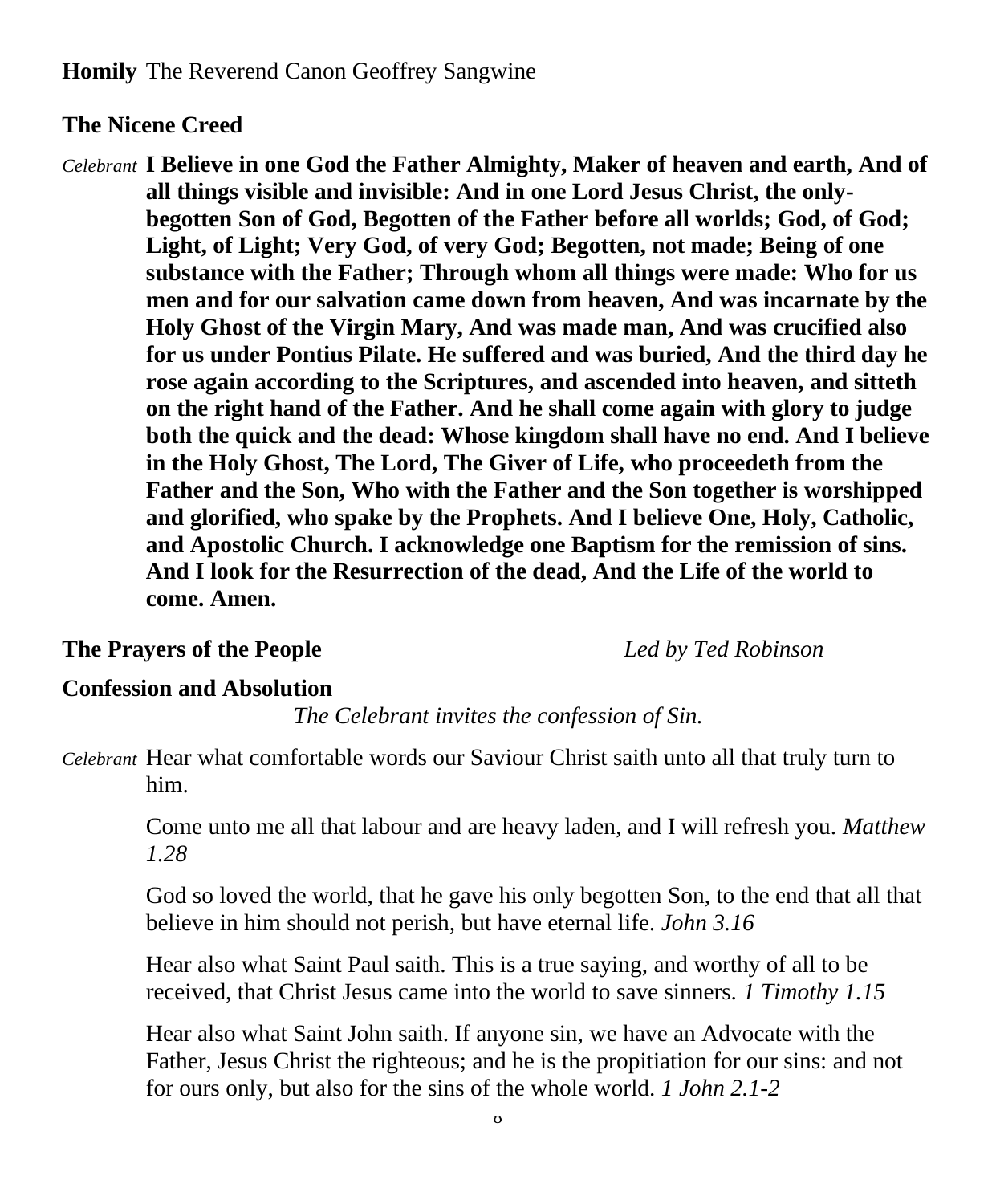# **The Nicene Creed**

*Celebrant* **I Believe in one God the Father Almighty, Maker of heaven and earth, And of all things visible and invisible: And in one Lord Jesus Christ, the onlybegotten Son of God, Begotten of the Father before all worlds; God, of God; Light, of Light; Very God, of very God; Begotten, not made; Being of one substance with the Father; Through whom all things were made: Who for us men and for our salvation came down from heaven, And was incarnate by the Holy Ghost of the Virgin Mary, And was made man, And was crucified also for us under Pontius Pilate. He suffered and was buried, And the third day he rose again according to the Scriptures, and ascended into heaven, and sitteth on the right hand of the Father. And he shall come again with glory to judge both the quick and the dead: Whose kingdom shall have no end. And I believe in the Holy Ghost, The Lord, The Giver of Life, who proceedeth from the Father and the Son, Who with the Father and the Son together is worshipped and glorified, who spake by the Prophets. And I believe One, Holy, Catholic, and Apostolic Church. I acknowledge one Baptism for the remission of sins. And I look for the Resurrection of the dead, And the Life of the world to come. Amen.**

## **The Prayers of the People** *Led by Ted Robinson*

## **Confession and Absolution**

*The Celebrant invites the confession of Sin.*

*Celebrant* Hear what comfortable words our Saviour Christ saith unto all that truly turn to him.

Come unto me all that labour and are heavy laden, and I will refresh you. *Matthew 1.28* 

God so loved the world, that he gave his only begotten Son, to the end that all that believe in him should not perish, but have eternal life. *John 3.16*

Hear also what Saint Paul saith. This is a true saying, and worthy of all to be received, that Christ Jesus came into the world to save sinners. *1 Timothy 1.15*

Hear also what Saint John saith. If anyone sin, we have an Advocate with the Father, Jesus Christ the righteous; and he is the propitiation for our sins: and not for ours only, but also for the sins of the whole world. *1 John 2.1-2*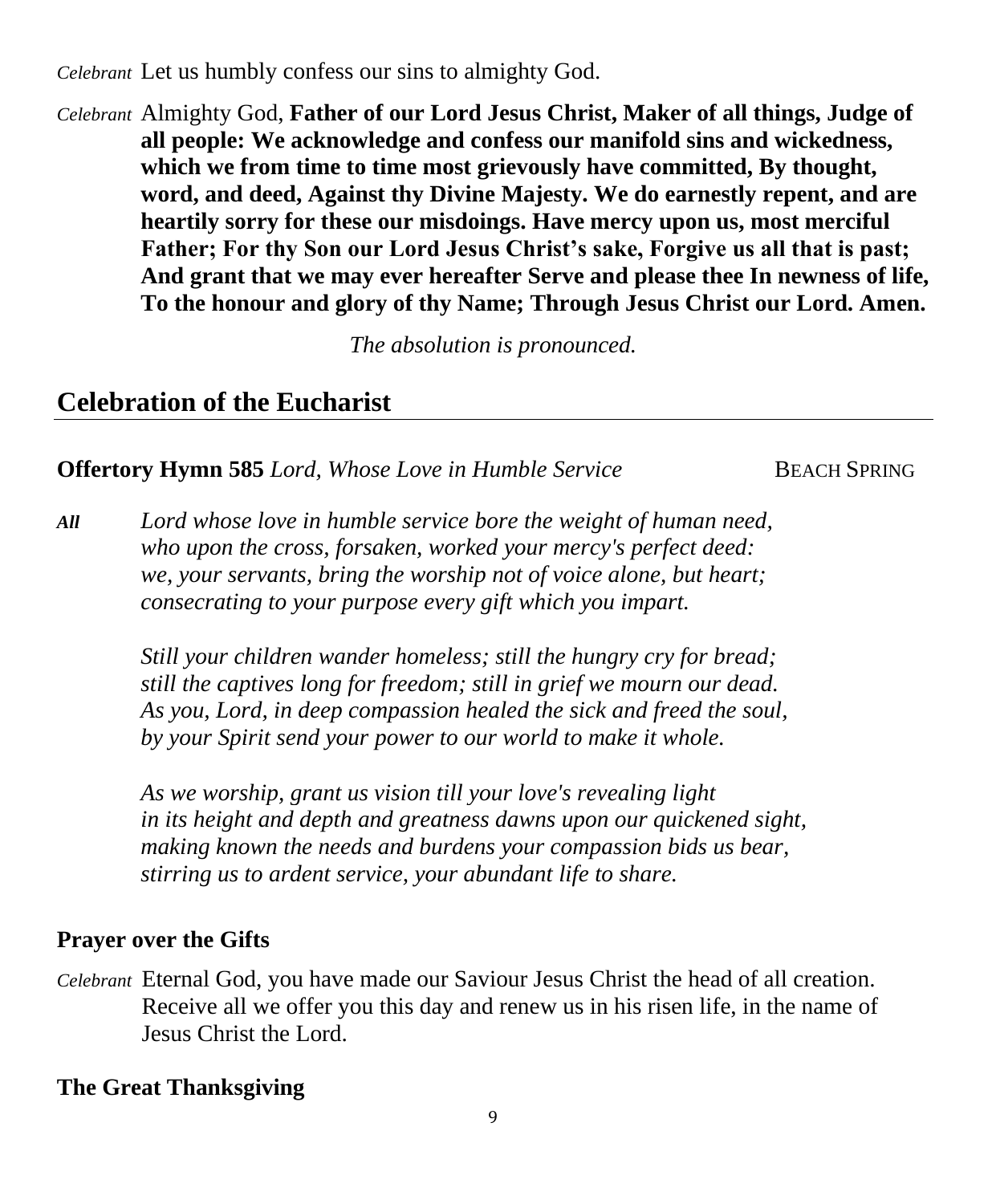*Celebrant* Let us humbly confess our sins to almighty God.

*Celebrant* Almighty God, **Father of our Lord Jesus Christ, Maker of all things, Judge of all people: We acknowledge and confess our manifold sins and wickedness, which we from time to time most grievously have committed, By thought, word, and deed, Against thy Divine Majesty. We do earnestly repent, and are heartily sorry for these our misdoings. Have mercy upon us, most merciful Father; For thy Son our Lord Jesus Christ's sake, Forgive us all that is past; And grant that we may ever hereafter Serve and please thee In newness of life, To the honour and glory of thy Name; Through Jesus Christ our Lord. Amen.**

*The absolution is pronounced.*

# **Celebration of the Eucharist**

## **Offertory Hymn 585** *Lord, Whose Love in Humble Service* BEACH SPRING

*All Lord whose love in humble service bore the weight of human need, who upon the cross, forsaken, worked your mercy's perfect deed: we, your servants, bring the worship not of voice alone, but heart; consecrating to your purpose every gift which you impart.*

> *Still your children wander homeless; still the hungry cry for bread; still the captives long for freedom; still in grief we mourn our dead. As you, Lord, in deep compassion healed the sick and freed the soul, by your Spirit send your power to our world to make it whole.*

*As we worship, grant us vision till your love's revealing light in its height and depth and greatness dawns upon our quickened sight, making known the needs and burdens your compassion bids us bear, stirring us to ardent service, your abundant life to share.*

## **Prayer over the Gifts**

*Celebrant* Eternal God, you have made our Saviour Jesus Christ the head of all creation. Receive all we offer you this day and renew us in his risen life, in the name of Jesus Christ the Lord.

# **The Great Thanksgiving**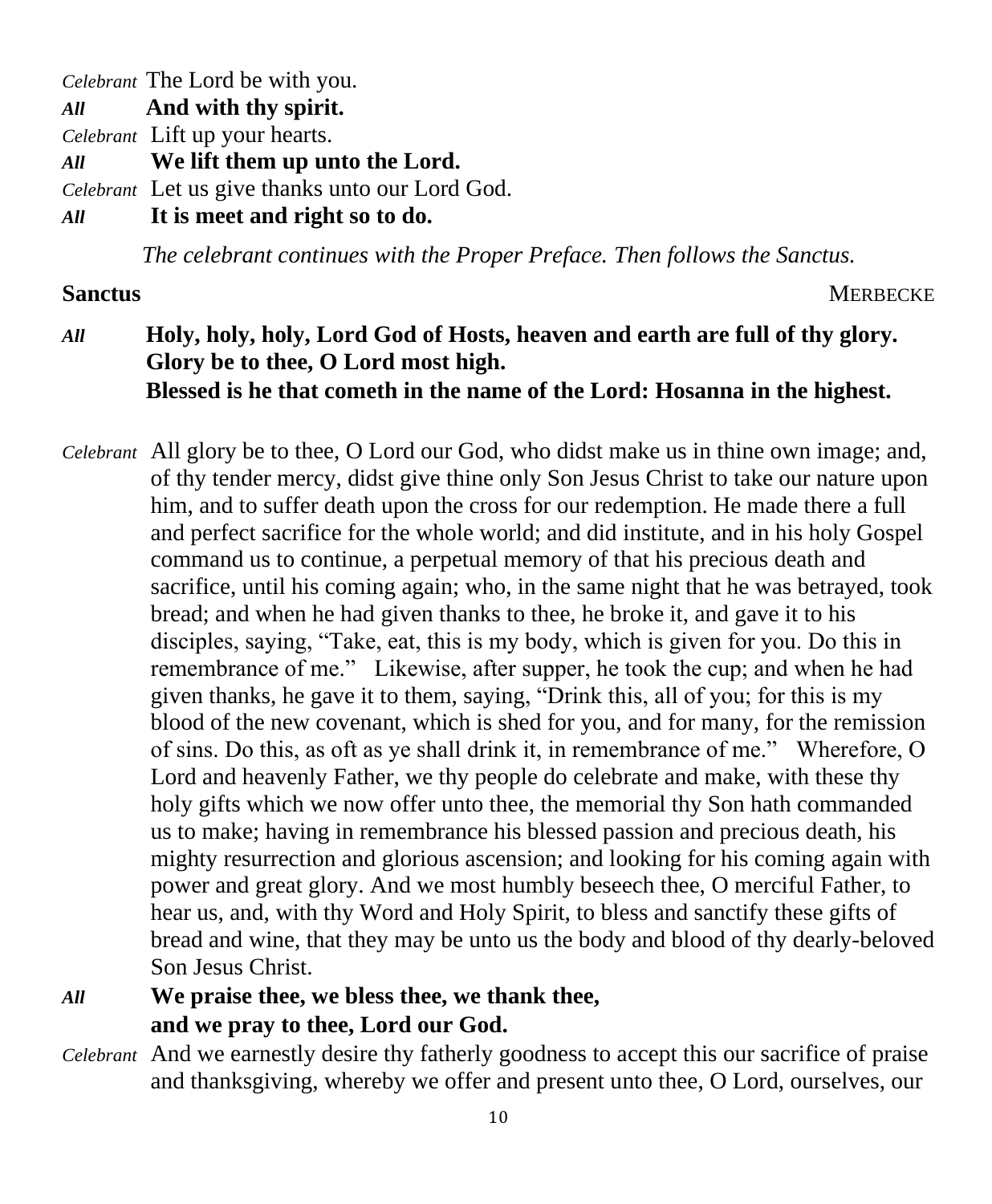*Celebrant* The Lord be with you.

*All* **And with thy spirit.**

*Celebrant* Lift up your hearts.

*All* **We lift them up unto the Lord.**

*Celebrant* Let us give thanks unto our Lord God.

*All* **It is meet and right so to do.**

*The celebrant continues with the Proper Preface. Then follows the Sanctus.*

**Sanctus MERBECKE** 

# *All* **Holy, holy, holy, Lord God of Hosts, heaven and earth are full of thy glory. Glory be to thee, O Lord most high. Blessed is he that cometh in the name of the Lord: Hosanna in the highest.**

*Celebrant* All glory be to thee, O Lord our God, who didst make us in thine own image; and, of thy tender mercy, didst give thine only Son Jesus Christ to take our nature upon him, and to suffer death upon the cross for our redemption. He made there a full and perfect sacrifice for the whole world; and did institute, and in his holy Gospel command us to continue, a perpetual memory of that his precious death and sacrifice, until his coming again; who, in the same night that he was betrayed, took bread; and when he had given thanks to thee, he broke it, and gave it to his disciples, saying, "Take, eat, this is my body, which is given for you. Do this in remembrance of me." Likewise, after supper, he took the cup; and when he had given thanks, he gave it to them, saying, "Drink this, all of you; for this is my blood of the new covenant, which is shed for you, and for many, for the remission of sins. Do this, as oft as ye shall drink it, in remembrance of me." Wherefore, O Lord and heavenly Father, we thy people do celebrate and make, with these thy holy gifts which we now offer unto thee, the memorial thy Son hath commanded us to make; having in remembrance his blessed passion and precious death, his mighty resurrection and glorious ascension; and looking for his coming again with power and great glory. And we most humbly beseech thee, O merciful Father, to hear us, and, with thy Word and Holy Spirit, to bless and sanctify these gifts of bread and wine, that they may be unto us the body and blood of thy dearly-beloved Son Jesus Christ.

*All* **We praise thee, we bless thee, we thank thee, and we pray to thee, Lord our God.** 

*Celebrant* And we earnestly desire thy fatherly goodness to accept this our sacrifice of praise and thanksgiving, whereby we offer and present unto thee, O Lord, ourselves, our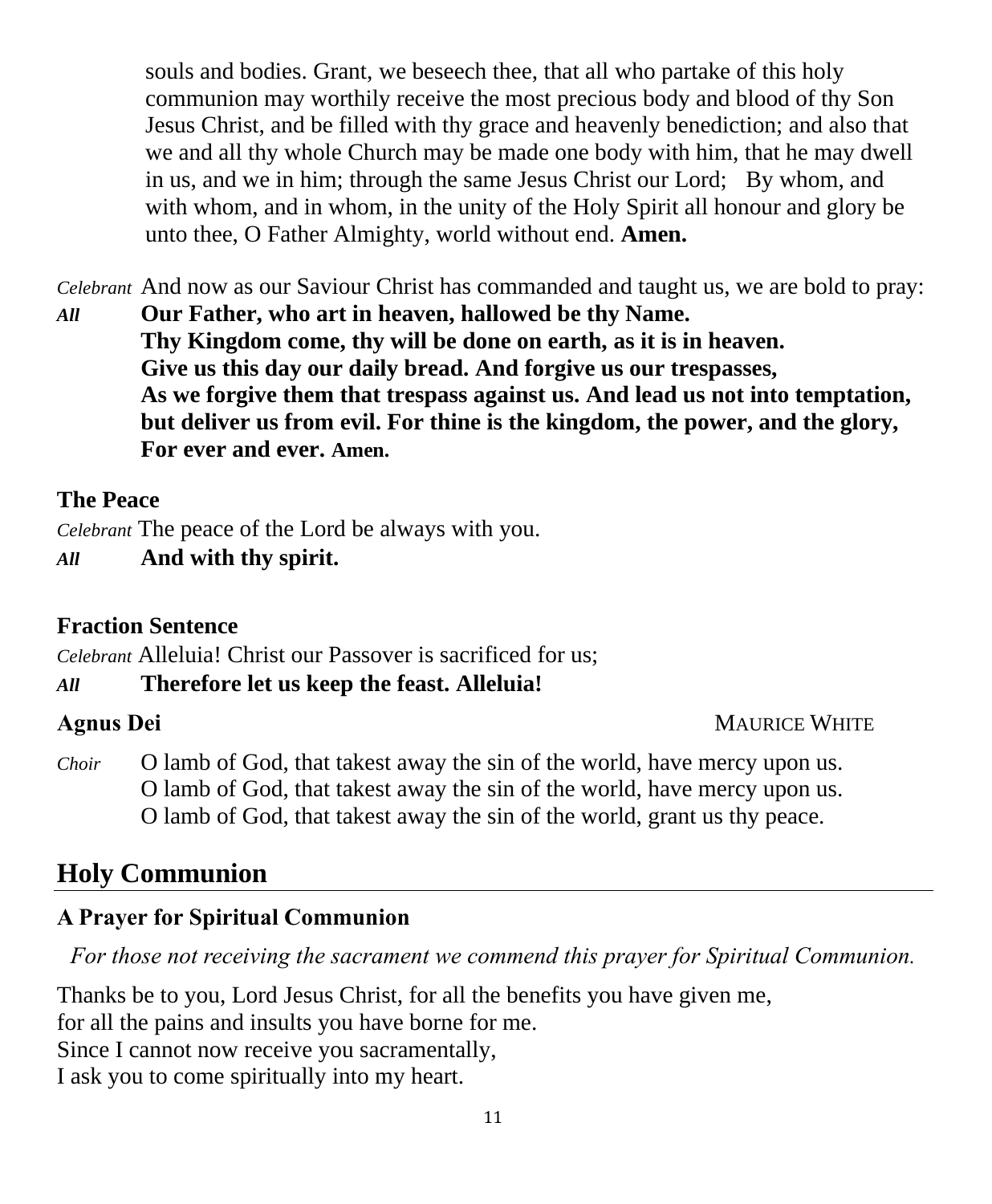souls and bodies. Grant, we beseech thee, that all who partake of this holy communion may worthily receive the most precious body and blood of thy Son Jesus Christ, and be filled with thy grace and heavenly benediction; and also that we and all thy whole Church may be made one body with him, that he may dwell in us, and we in him; through the same Jesus Christ our Lord; By whom, and with whom, and in whom, in the unity of the Holy Spirit all honour and glory be unto thee, O Father Almighty, world without end. **Amen.**

*Celebrant* And now as our Saviour Christ has commanded and taught us, we are bold to pray:

*All* **Our Father, who art in heaven, hallowed be thy Name. Thy Kingdom come, thy will be done on earth, as it is in heaven. Give us this day our daily bread. And forgive us our trespasses, As we forgive them that trespass against us. And lead us not into temptation, but deliver us from evil. For thine is the kingdom, the power, and the glory, For ever and ever. Amen.**

### **The Peace**

*Celebrant* The peace of the Lord be always with you.

*All* **And with thy spirit.**

## **Fraction Sentence**

*Celebrant* Alleluia! Christ our Passover is sacrificed for us;

*All* **Therefore let us keep the feast. Alleluia!**

## **Agnus Dei** MAURICE WHITE

*Choir* O lamb of God, that takest away the sin of the world, have mercy upon us. O lamb of God, that takest away the sin of the world, have mercy upon us. O lamb of God, that takest away the sin of the world, grant us thy peace.

# **Holy Communion**

# **A Prayer for Spiritual Communion**

*For those not receiving the sacrament we commend this prayer for Spiritual Communion.*

Thanks be to you, Lord Jesus Christ, for all the benefits you have given me, for all the pains and insults you have borne for me. Since I cannot now receive you sacramentally, I ask you to come spiritually into my heart.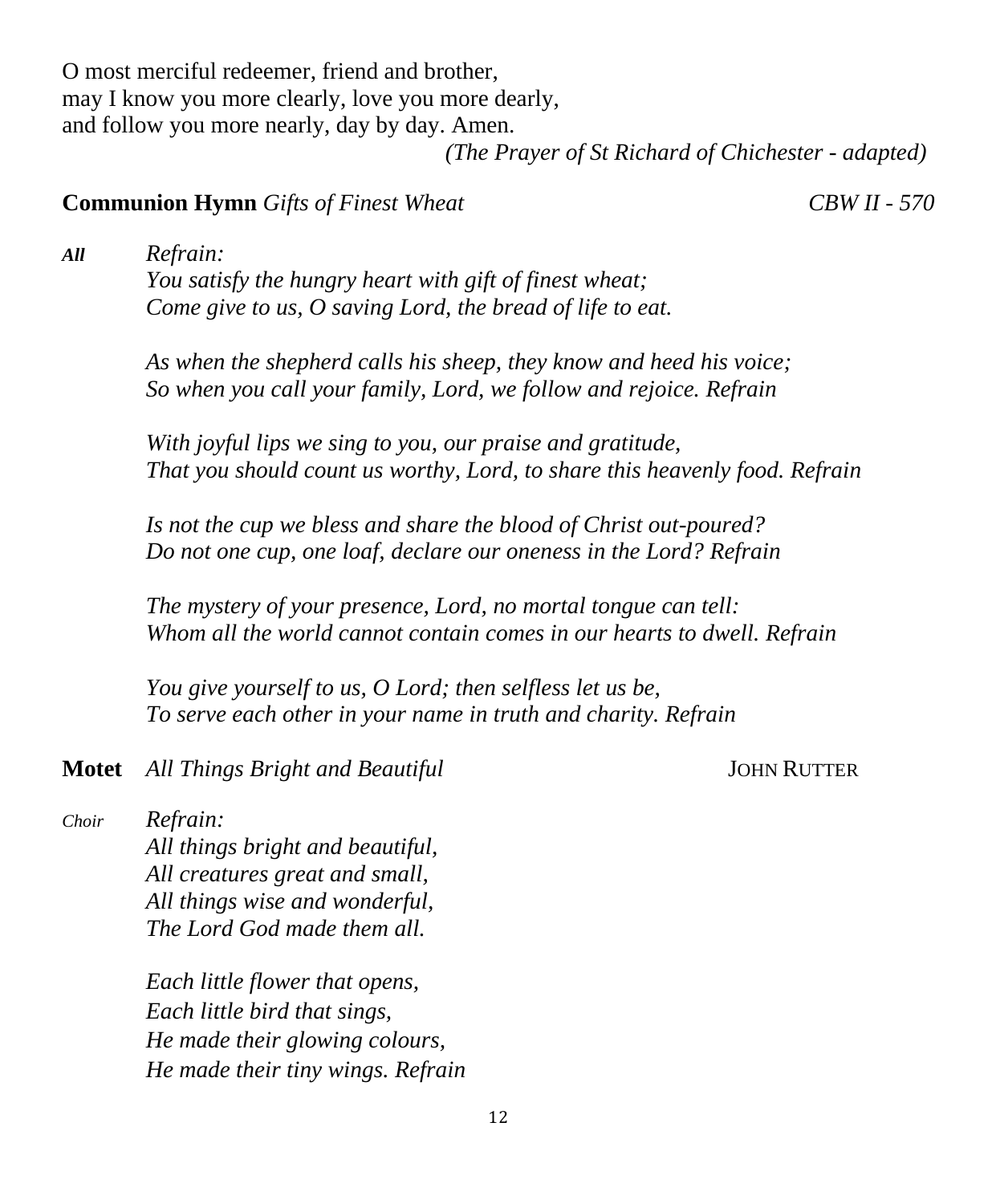O most merciful redeemer, friend and brother, may I know you more clearly, love you more dearly, and follow you more nearly, day by day. Amen. *(The Prayer of St Richard of Chichester - adapted)*

#### **Communion Hymn** *Gifts of Finest Wheat CBW II - 570*

*All Refrain: You satisfy the hungry heart with gift of finest wheat; Come give to us, O saving Lord, the bread of life to eat.*

> *As when the shepherd calls his sheep, they know and heed his voice; So when you call your family, Lord, we follow and rejoice. Refrain*

*With joyful lips we sing to you, our praise and gratitude, That you should count us worthy, Lord, to share this heavenly food. Refrain*

*Is not the cup we bless and share the blood of Christ out-poured? Do not one cup, one loaf, declare our oneness in the Lord? Refrain*

*The mystery of your presence, Lord, no mortal tongue can tell: Whom all the world cannot contain comes in our hearts to dwell. Refrain*

*You give yourself to us, O Lord; then selfless let us be, To serve each other in your name in truth and charity. Refrain*

**Motet** *All Things Bright and Beautiful* **JOHN RUTTER** 

*Choir Refrain:*

*All things bright and beautiful, All creatures great and small, All things wise and wonderful, The Lord God made them all.*

*Each little flower that opens, Each little bird that sings, He made their glowing colours, He made their tiny wings. Refrain*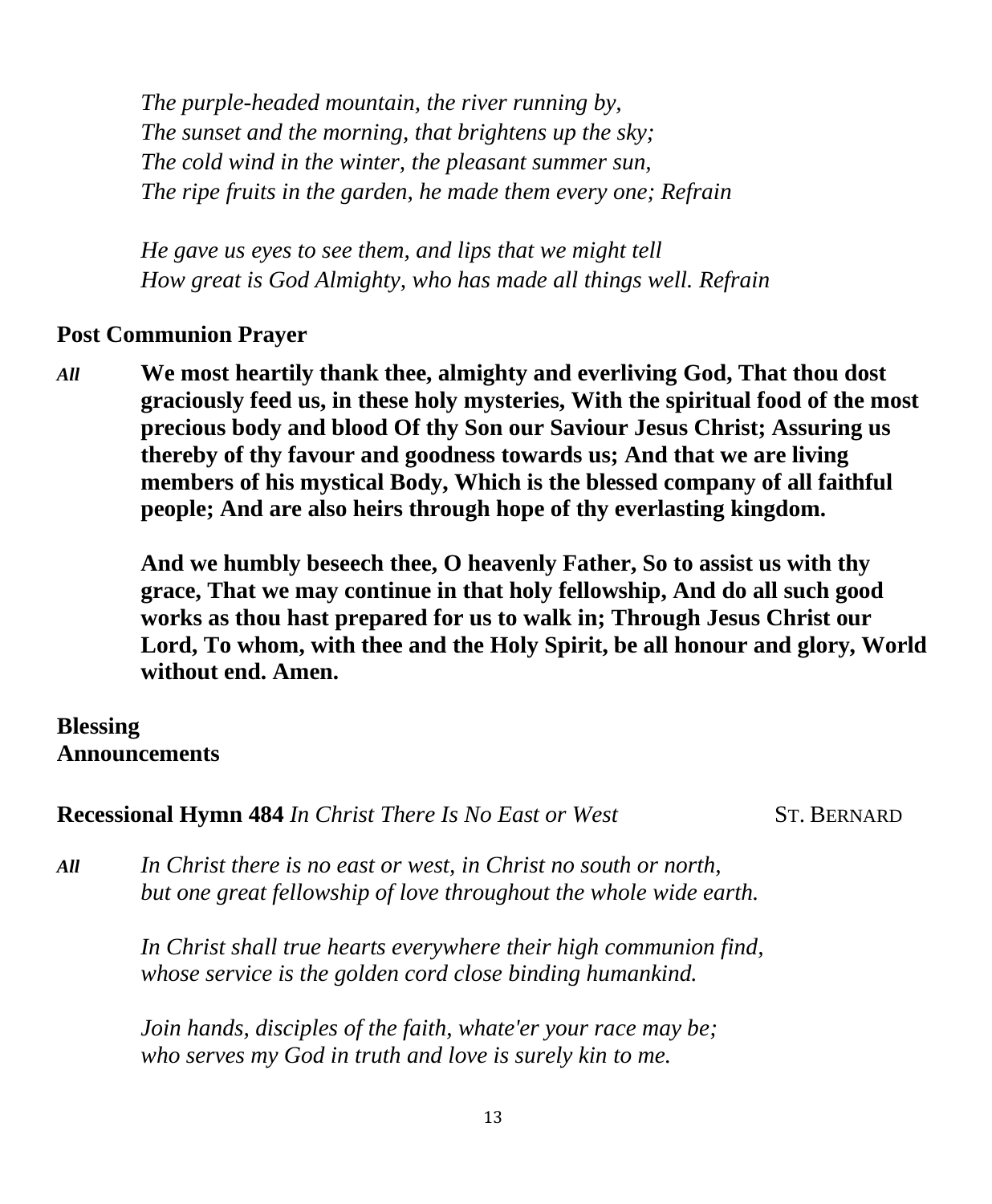*The purple-headed mountain, the river running by, The sunset and the morning, that brightens up the sky; The cold wind in the winter, the pleasant summer sun, The ripe fruits in the garden, he made them every one; Refrain*

*He gave us eyes to see them, and lips that we might tell How great is God Almighty, who has made all things well. Refrain*

#### **Post Communion Prayer**

*All* **We most heartily thank thee, almighty and everliving God, That thou dost graciously feed us, in these holy mysteries, With the spiritual food of the most precious body and blood Of thy Son our Saviour Jesus Christ; Assuring us thereby of thy favour and goodness towards us; And that we are living members of his mystical Body, Which is the blessed company of all faithful people; And are also heirs through hope of thy everlasting kingdom.** 

**And we humbly beseech thee, O heavenly Father, So to assist us with thy grace, That we may continue in that holy fellowship, And do all such good works as thou hast prepared for us to walk in; Through Jesus Christ our Lord, To whom, with thee and the Holy Spirit, be all honour and glory, World without end. Amen.**

## **Blessing Announcements**

**Recessional Hymn 484** *In Christ There Is No East or West* ST. BERNARD

*All In Christ there is no east or west, in Christ no south or north, but one great fellowship of love throughout the whole wide earth.*

> *In Christ shall true hearts everywhere their high communion find, whose service is the golden cord close binding humankind.*

*Join hands, disciples of the faith, whate'er your race may be; who serves my God in truth and love is surely kin to me.*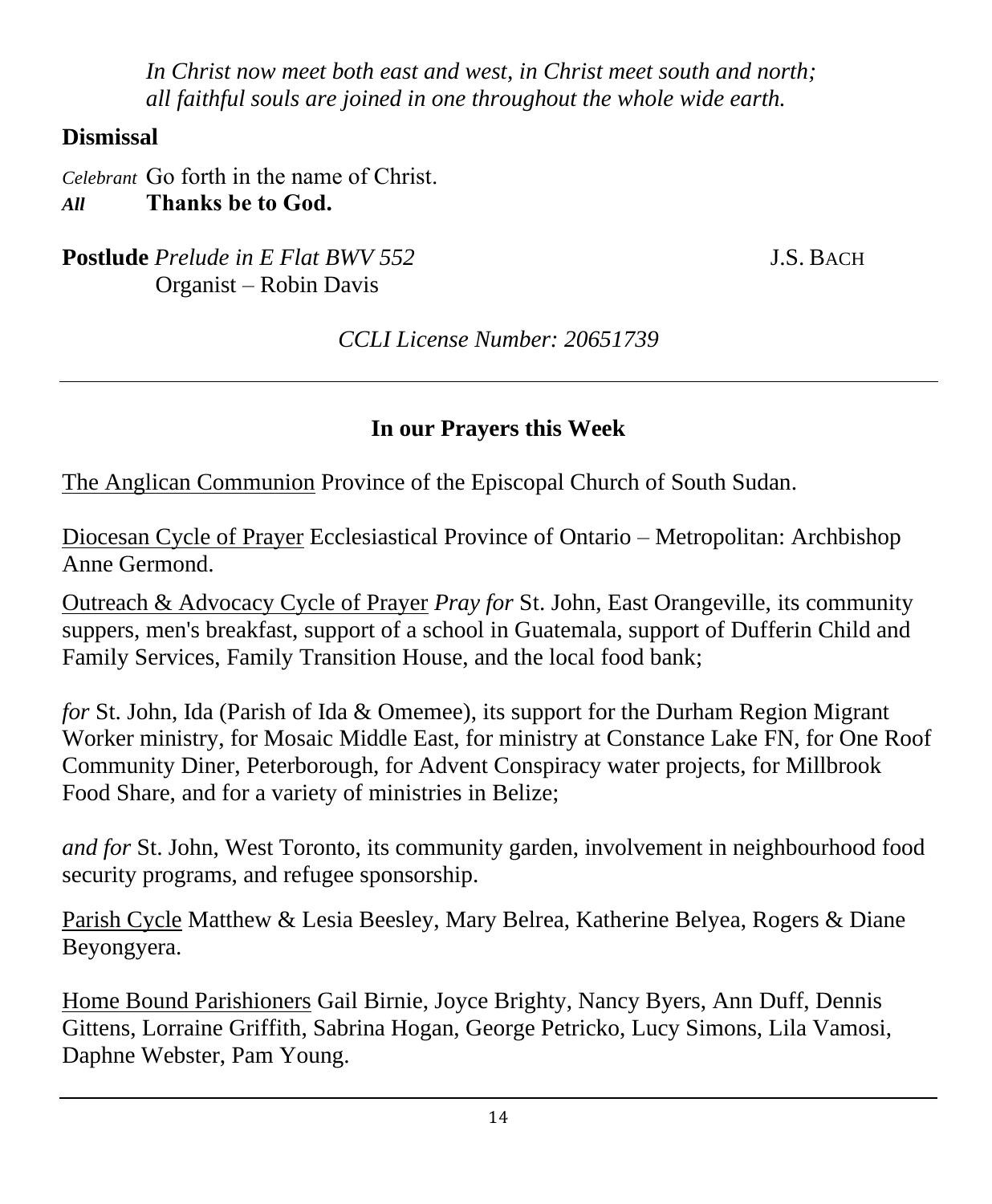*In Christ now meet both east and west, in Christ meet south and north; all faithful souls are joined in one throughout the whole wide earth.*

# **Dismissal**

*Celebrant* Go forth in the name of Christ. *All* **Thanks be to God.**

**Postlude** *Prelude* in E Flat BWV 552 **J.S. BACH** Organist – Robin Davis

*CCLI License Number: 20651739*

# **In our Prayers this Week**

The Anglican Communion Province of the Episcopal Church of South Sudan.

Diocesan Cycle of Prayer Ecclesiastical Province of Ontario – Metropolitan: Archbishop Anne Germond.

Outreach & Advocacy Cycle of Prayer *Pray for* St. John, East Orangeville, its community suppers, men's breakfast, support of a school in Guatemala, support of Dufferin Child and Family Services, Family Transition House, and the local food bank;

*for* St. John, Ida (Parish of Ida & Omemee), its support for the Durham Region Migrant Worker ministry, for Mosaic Middle East, for ministry at Constance Lake FN, for One Roof Community Diner, Peterborough, for Advent Conspiracy water projects, for Millbrook Food Share, and for a variety of ministries in Belize;

*and for* St. John, West Toronto, its community garden, involvement in neighbourhood food security programs, and refugee sponsorship.

Parish Cycle Matthew & Lesia Beesley, Mary Belrea, Katherine Belyea, Rogers & Diane Beyongyera.

Home Bound Parishioners Gail Birnie, Joyce Brighty, Nancy Byers, Ann Duff, Dennis Gittens, Lorraine Griffith, Sabrina Hogan, George Petricko, Lucy Simons, Lila Vamosi, Daphne Webster, Pam Young.